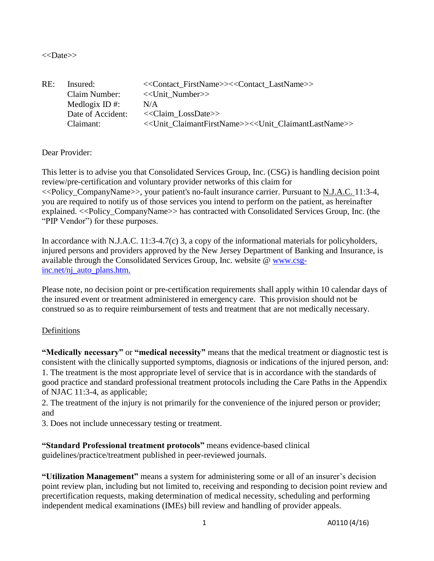### <<Date>>

| RE: | Insured:<br>Claim Number: | < <contact firstname="">&gt;&lt;<contact lastname="">&gt;<br/>&lt;<unit number="">&gt;</unit></contact></contact> |
|-----|---------------------------|-------------------------------------------------------------------------------------------------------------------|
|     | Medlogix ID #:            | N/A                                                                                                               |
|     | Date of Accident:         | $<<$ Claim LossDate>>                                                                                             |
|     | Claimant:                 | < <unit claimantfirstname="">&gt;&lt;<unit claimantlastname="">&gt;</unit></unit>                                 |

## Dear Provider:

This letter is to advise you that Consolidated Services Group, Inc. (CSG) is handling decision point review/pre-certification and voluntary provider networks of this claim for <<Policy\_CompanyName>>, your patient's no-fault insurance carrier. Pursuant to N.J.A.C. 11:3-4, you are required to notify us of those services you intend to perform on the patient, as hereinafter explained. <<Policy CompanyName>> has contracted with Consolidated Services Group, Inc. (the "PIP Vendor") for these purposes.

In accordance with N.J.A.C. 11:3-4.7(c) 3, a copy of the informational materials for policyholders, injured persons and providers approved by the New Jersey Department of Banking and Insurance, is available through the Consolidated Services Group, Inc. website @ www.csginc.net/nj\_auto\_plans.htm.

Please note, no decision point or pre-certification requirements shall apply within 10 calendar days of the insured event or treatment administered in emergency care. This provision should not be construed so as to require reimbursement of tests and treatment that are not medically necessary.

### Definitions

**"Medically necessary"** or **"medical necessity"** means that the medical treatment or diagnostic test is consistent with the clinically supported symptoms, diagnosis or indications of the injured person, and: 1. The treatment is the most appropriate level of service that is in accordance with the standards of good practice and standard professional treatment protocols including the Care Paths in the Appendix of NJAC 11:3-4, as applicable;

2. The treatment of the injury is not primarily for the convenience of the injured person or provider; and

3. Does not include unnecessary testing or treatment.

**"Standard Professional treatment protocols"** means evidence-based clinical guidelines/practice/treatment published in peer-reviewed journals.

**"Utilization Management"** means a system for administering some or all of an insurer's decision point review plan, including but not limited to, receiving and responding to decision point review and precertification requests, making determination of medical necessity, scheduling and performing independent medical examinations (IMEs) bill review and handling of provider appeals.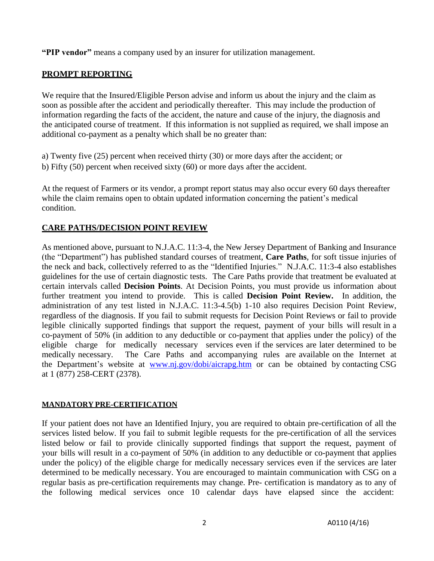**"PIP vendor"** means a company used by an insurer for utilization management.

## **PROMPT REPORTING**

We require that the Insured/Eligible Person advise and inform us about the injury and the claim as soon as possible after the accident and periodically thereafter. This may include the production of information regarding the facts of the accident, the nature and cause of the injury, the diagnosis and the anticipated course of treatment. If this information is not supplied as required, we shall impose an additional co-payment as a penalty which shall be no greater than:

a) Twenty five (25) percent when received thirty (30) or more days after the accident; or b) Fifty (50) percent when received sixty (60) or more days after the accident.

At the request of Farmers or its vendor, a prompt report status may also occur every 60 days thereafter while the claim remains open to obtain updated information concerning the patient's medical condition.

# **CARE PATHS/DECISION POINT REVIEW**

As mentioned above, pursuant to N.J.A.C. 11:3-4, the New Jersey Department of Banking and Insurance (the "Department") has published standard courses of treatment, **Care Paths**, for soft tissue injuries of the neck and back, collectively referred to as the "Identified Injuries." N.J.A.C. 11:3-4 also establishes guidelines for the use of certain diagnostic tests. The Care Paths provide that treatment be evaluated at certain intervals called **Decision Points**. At Decision Points, you must provide us information about further treatment you intend to provide. This is called **Decision Point Review.** In addition, the administration of any test listed in N.J.A.C. 11:3-4.5(b) 1-10 also requires Decision Point Review, regardless of the diagnosis. If you fail to submit requests for Decision Point Reviews or fail to provide legible clinically supported findings that support the request, payment of your bills will result in a co-payment of 50% (in addition to any deductible or co-payment that applies under the policy) of the eligible charge for medically necessary services even if the services are later determined to be medically necessary. The Care Paths and accompanying rules are available on the Internet at the Department's website at [www.nj.gov/dobi/aicrapg.htm](http://www.nj.gov/dobi/aicrapg.htm) or can be obtained by contacting CSG at 1 (877) 258-CERT (2378).

## **MANDATORY PRE-CERTIFICATION**

If your patient does not have an Identified Injury, you are required to obtain pre-certification of all the services listed below. If you fail to submit legible requests for the pre-certification of all the services listed below or fail to provide clinically supported findings that support the request, payment of your bills will result in a co-payment of 50% (in addition to any deductible or co-payment that applies under the policy) of the eligible charge for medically necessary services even if the services are later determined to be medically necessary. You are encouraged to maintain communication with CSG on a regular basis as pre-certification requirements may change. Pre- certification is mandatory as to any of the following medical services once 10 calendar days have elapsed since the accident: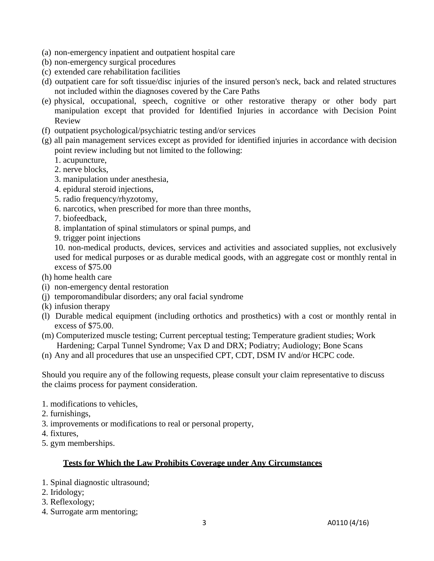- (a) non-emergency inpatient and outpatient hospital care
- (b) non-emergency surgical procedures
- (c) extended care rehabilitation facilities
- (d) outpatient care for soft tissue/disc injuries of the insured person's neck, back and related structures not included within the diagnoses covered by the Care Paths
- (e) physical, occupational, speech, cognitive or other restorative therapy or other body part manipulation except that provided for Identified Injuries in accordance with Decision Point Review
- (f) outpatient psychological/psychiatric testing and/or services
- (g) all pain management services except as provided for identified injuries in accordance with decision point review including but not limited to the following:
	- 1. acupuncture,
	- 2. nerve blocks,
	- 3. manipulation under anesthesia,
	- 4. epidural steroid injections,
	- 5. radio frequency/rhyzotomy,
	- 6. narcotics, when prescribed for more than three months,
	- 7. biofeedback,
	- 8. implantation of spinal stimulators or spinal pumps, and
	- 9. trigger point injections

10. non-medical products, devices, services and activities and associated supplies, not exclusively used for medical purposes or as durable medical goods, with an aggregate cost or monthly rental in excess of \$75.00

- (h) home health care
- (i) non-emergency dental restoration
- (j) temporomandibular disorders; any oral facial syndrome
- (k) infusion therapy
- (l) Durable medical equipment (including orthotics and prosthetics) with a cost or monthly rental in excess of \$75.00.
- (m) Computerized muscle testing; Current perceptual testing; Temperature gradient studies; Work Hardening; Carpal Tunnel Syndrome; Vax D and DRX; Podiatry; Audiology; Bone Scans
- (n) Any and all procedures that use an unspecified CPT, CDT, DSM IV and/or HCPC code.

Should you require any of the following requests, please consult your claim representative to discuss the claims process for payment consideration.

- 1. modifications to vehicles,
- 2. furnishings,
- 3. improvements or modifications to real or personal property,
- 4. fixtures,
- 5. gym memberships.

### **Tests for Which the Law Prohibits Coverage under Any Circumstances**

- 1. Spinal diagnostic ultrasound;
- 2. Iridology;
- 3. Reflexology;
- 4. Surrogate arm mentoring;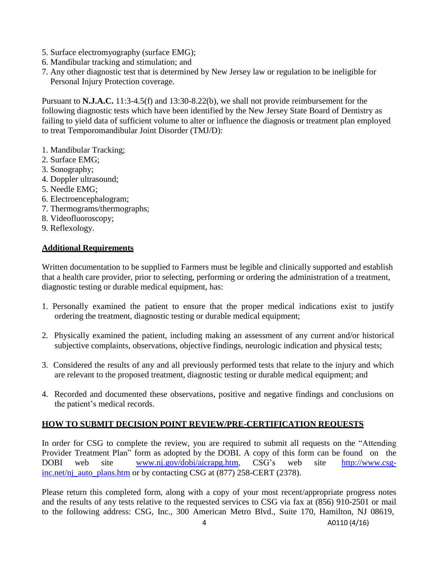- 5. Surface electromyography (surface EMG);
- 6. Mandibular tracking and stimulation; and
- 7. Any other diagnostic test that is determined by New Jersey law or regulation to be ineligible for Personal Injury Protection coverage.

Pursuant to **N.J.A.C.** 11:3-4.5(f) and 13:30-8.22(b), we shall not provide reimbursement for the following diagnostic tests which have been identified by the New Jersey State Board of Dentistry as failing to yield data of sufficient volume to alter or influence the diagnosis or treatment plan employed to treat Temporomandibular Joint Disorder (TMJ/D):

- 1. Mandibular Tracking;
- 2. Surface EMG;
- 3. Sonography;
- 4. Doppler ultrasound;
- 5. Needle EMG;
- 6. Electroencephalogram;
- 7. Thermograms/thermographs;
- 8. Videofluoroscopy;
- 9. Reflexology.

# **Additional Requirements**

Written documentation to be supplied to Farmers must be legible and clinically supported and establish that a health care provider, prior to selecting, performing or ordering the administration of a treatment, diagnostic testing or durable medical equipment, has:

- 1. Personally examined the patient to ensure that the proper medical indications exist to justify ordering the treatment, diagnostic testing or durable medical equipment;
- 2. Physically examined the patient, including making an assessment of any current and/or historical subjective complaints, observations, objective findings, neurologic indication and physical tests;
- 3. Considered the results of any and all previously performed tests that relate to the injury and which are relevant to the proposed treatment, diagnostic testing or durable medical equipment; and
- 4. Recorded and documented these observations, positive and negative findings and conclusions on the patient's medical records.

# **HOW TO SUBMIT DECISION POINT REVIEW/PRE-CERTIFICATION REQUESTS**

In order for CSG to complete the review, you are required to submit all requests on the "Attending Provider Treatment Plan" form as adopted by the DOBI. A copy of this form can be found on the DOBI web site [www.nj.gov/dobi/aicrapg.htm, C](http://www.nj.gov/dobi/aicrapg.htm)SG's web site http://www.csginc.net/nj\_auto\_plans.htm or by contacting CSG at (877) 258-CERT (2378).

Please return this completed form, along with a copy of your most recent/appropriate progress notes and the results of any tests relative to the requested services to CSG via fax at (856) 910-2501 or mail to the following address: CSG, Inc., 300 American Metro Blvd., Suite 170, Hamilton, NJ 08619,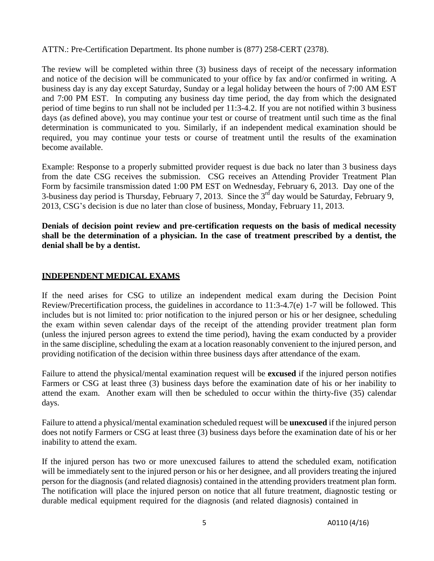ATTN.: Pre-Certification Department. Its phone number is (877) 258-CERT (2378).

The review will be completed within three (3) business days of receipt of the necessary information and notice of the decision will be communicated to your office by fax and/or confirmed in writing. A business day is any day except Saturday, Sunday or a legal holiday between the hours of 7:00 AM EST and 7:00 PM EST. In computing any business day time period, the day from which the designated period of time begins to run shall not be included per 11:3-4.2. If you are not notified within 3 business days (as defined above), you may continue your test or course of treatment until such time as the final determination is communicated to you. Similarly, if an independent medical examination should be required, you may continue your tests or course of treatment until the results of the examination become available.

Example: Response to a properly submitted provider request is due back no later than 3 business days from the date CSG receives the submission. CSG receives an Attending Provider Treatment Plan Form by facsimile transmission dated 1:00 PM EST on Wednesday, February 6, 2013. Day one of the 3-business day period is Thursday, February 7, 2013. Since the  $3<sup>rd</sup>$  day would be Saturday, February 9, 2013, CSG's decision is due no later than close of business, Monday, February 11, 2013.

**Denials of decision point review and pre-certification requests on the basis of medical necessity shall be the determination of a physician. In the case of treatment prescribed by a dentist, the denial shall be by a dentist.**

## **INDEPENDENT MEDICAL EXAMS**

If the need arises for CSG to utilize an independent medical exam during the Decision Point Review/Precertification process, the guidelines in accordance to 11:3-4.7(e) 1-7 will be followed. This includes but is not limited to: prior notification to the injured person or his or her designee, scheduling the exam within seven calendar days of the receipt of the attending provider treatment plan form (unless the injured person agrees to extend the time period), having the exam conducted by a provider in the same discipline, scheduling the exam at a location reasonably convenient to the injured person, and providing notification of the decision within three business days after attendance of the exam.

Failure to attend the physical/mental examination request will be **excused** if the injured person notifies Farmers or CSG at least three (3) business days before the examination date of his or her inability to attend the exam. Another exam will then be scheduled to occur within the thirty-five (35) calendar days.

Failure to attend a physical/mental examination scheduled request will be **unexcused** if the injured person does not notify Farmers or CSG at least three (3) business days before the examination date of his or her inability to attend the exam.

If the injured person has two or more unexcused failures to attend the scheduled exam, notification will be immediately sent to the injured person or his or her designee, and all providers treating the injured person for the diagnosis (and related diagnosis) contained in the attending providers treatment plan form. The notification will place the injured person on notice that all future treatment, diagnostic testing or durable medical equipment required for the diagnosis (and related diagnosis) contained in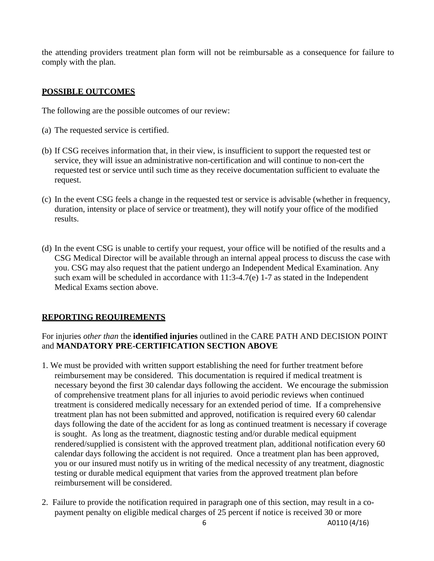the attending providers treatment plan form will not be reimbursable as a consequence for failure to comply with the plan.

## **POSSIBLE OUTCOMES**

The following are the possible outcomes of our review:

- (a) The requested service is certified.
- (b) If CSG receives information that, in their view, is insufficient to support the requested test or service, they will issue an administrative non-certification and will continue to non-cert the requested test or service until such time as they receive documentation sufficient to evaluate the request.
- (c) In the event CSG feels a change in the requested test or service is advisable (whether in frequency, duration, intensity or place of service or treatment), they will notify your office of the modified results.
- (d) In the event CSG is unable to certify your request, your office will be notified of the results and a CSG Medical Director will be available through an internal appeal process to discuss the case with you. CSG may also request that the patient undergo an Independent Medical Examination. Any such exam will be scheduled in accordance with 11:3-4.7(e) 1-7 as stated in the Independent Medical Exams section above.

# **REPORTING REQUIREMENTS**

# For injuries *other than* the **identified injuries** outlined in the CARE PATH AND DECISION POINT and **MANDATORY PRE-CERTIFICATION SECTION ABOVE**

- 1. We must be provided with written support establishing the need for further treatment before reimbursement may be considered. This documentation is required if medical treatment is necessary beyond the first 30 calendar days following the accident. We encourage the submission of comprehensive treatment plans for all injuries to avoid periodic reviews when continued treatment is considered medically necessary for an extended period of time. If a comprehensive treatment plan has not been submitted and approved, notification is required every 60 calendar days following the date of the accident for as long as continued treatment is necessary if coverage is sought. As long as the treatment, diagnostic testing and/or durable medical equipment rendered/supplied is consistent with the approved treatment plan, additional notification every 60 calendar days following the accident is not required. Once a treatment plan has been approved, you or our insured must notify us in writing of the medical necessity of any treatment, diagnostic testing or durable medical equipment that varies from the approved treatment plan before reimbursement will be considered.
- 2. Failure to provide the notification required in paragraph one of this section, may result in a copayment penalty on eligible medical charges of 25 percent if notice is received 30 or more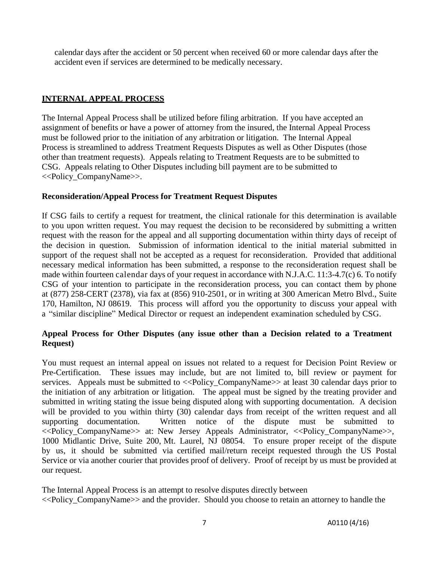calendar days after the accident or 50 percent when received 60 or more calendar days after the accident even if services are determined to be medically necessary.

## **INTERNAL APPEAL PROCESS**

The Internal Appeal Process shall be utilized before filing arbitration. If you have accepted an assignment of benefits or have a power of attorney from the insured, the Internal Appeal Process must be followed prior to the initiation of any arbitration or litigation. The Internal Appeal Process is streamlined to address Treatment Requests Disputes as well as Other Disputes (those other than treatment requests). Appeals relating to Treatment Requests are to be submitted to CSG. Appeals relating to Other Disputes including bill payment are to be submitted to <<Policy\_CompanyName>>.

## **Reconsideration/Appeal Process for Treatment Request Disputes**

If CSG fails to certify a request for treatment, the clinical rationale for this determination is available to you upon written request. You may request the decision to be reconsidered by submitting a written request with the reason for the appeal and all supporting documentation within thirty days of receipt of the decision in question. Submission of information identical to the initial material submitted in support of the request shall not be accepted as a request for reconsideration. Provided that additional necessary medical information has been submitted, a response to the reconsideration request shall be made within fourteen calendar days of your request in accordance with N.J.A.C. 11:3-4.7(c) 6. To notify CSG of your intention to participate in the reconsideration process, you can contact them by phone at (877) 258-CERT (2378), via fax at (856) 910-2501, or in writing at 300 American Metro Blvd., Suite 170, Hamilton, NJ 08619. This process will afford you the opportunity to discuss your appeal with a "similar discipline" Medical Director or request an independent examination scheduled by CSG.

## **Appeal Process for Other Disputes (any issue other than a Decision related to a Treatment Request)**

You must request an internal appeal on issues not related to a request for Decision Point Review or Pre-Certification. These issues may include, but are not limited to, bill review or payment for services. Appeals must be submitted to  $\langle$ -Policy CompanyName>> at least 30 calendar days prior to the initiation of any arbitration or litigation. The appeal must be signed by the treating provider and submitted in writing stating the issue being disputed along with supporting documentation. A decision will be provided to you within thirty (30) calendar days from receipt of the written request and all supporting documentation. Written notice of the dispute must be submitted to <<Policy\_CompanyName>> at: New Jersey Appeals Administrator, <<Policy\_CompanyName>>, 1000 Midlantic Drive, Suite 200, Mt. Laurel, NJ 08054. To ensure proper receipt of the dispute by us, it should be submitted via certified mail/return receipt requested through the US Postal Service or via another courier that provides proof of delivery. Proof of receipt by us must be provided at our request.

The Internal Appeal Process is an attempt to resolve disputes directly between <<Policy\_CompanyName>> and the provider. Should you choose to retain an attorney to handle the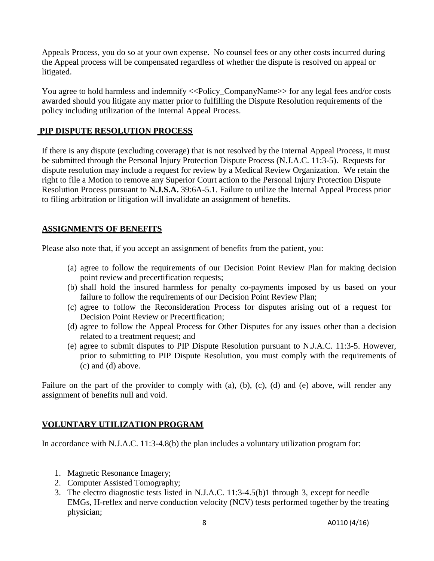Appeals Process, you do so at your own expense. No counsel fees or any other costs incurred during the Appeal process will be compensated regardless of whether the dispute is resolved on appeal or litigated.

You agree to hold harmless and indemnify <<Policy\_CompanyName>> for any legal fees and/or costs awarded should you litigate any matter prior to fulfilling the Dispute Resolution requirements of the policy including utilization of the Internal Appeal Process.

## **PIP DISPUTE RESOLUTION PROCESS**

If there is any dispute (excluding coverage) that is not resolved by the Internal Appeal Process, it must be submitted through the Personal Injury Protection Dispute Process (N.J.A.C. 11:3-5). Requests for dispute resolution may include a request for review by a Medical Review Organization. We retain the right to file a Motion to remove any Superior Court action to the Personal Injury Protection Dispute Resolution Process pursuant to **N.J.S.A.** 39:6A-5.1. Failure to utilize the Internal Appeal Process prior to filing arbitration or litigation will invalidate an assignment of benefits.

## **ASSIGNMENTS OF BENEFITS**

Please also note that, if you accept an assignment of benefits from the patient, you:

- (a) agree to follow the requirements of our Decision Point Review Plan for making decision point review and precertification requests;
- (b) shall hold the insured harmless for penalty co-payments imposed by us based on your failure to follow the requirements of our Decision Point Review Plan;
- (c) agree to follow the Reconsideration Process for disputes arising out of a request for Decision Point Review or Precertification;
- (d) agree to follow the Appeal Process for Other Disputes for any issues other than a decision related to a treatment request; and
- (e) agree to submit disputes to PIP Dispute Resolution pursuant to N.J.A.C. 11:3-5. However, prior to submitting to PIP Dispute Resolution, you must comply with the requirements of (c) and (d) above.

Failure on the part of the provider to comply with (a), (b), (c), (d) and (e) above, will render any assignment of benefits null and void.

## **VOLUNTARY UTILIZATION PROGRAM**

In accordance with N.J.A.C. 11:3-4.8(b) the plan includes a voluntary utilization program for:

- 1. Magnetic Resonance Imagery;
- 2. Computer Assisted Tomography;
- 3. The electro diagnostic tests listed in N.J.A.C. 11:3-4.5(b)1 through 3, except for needle EMGs, H-reflex and nerve conduction velocity (NCV) tests performed together by the treating physician;